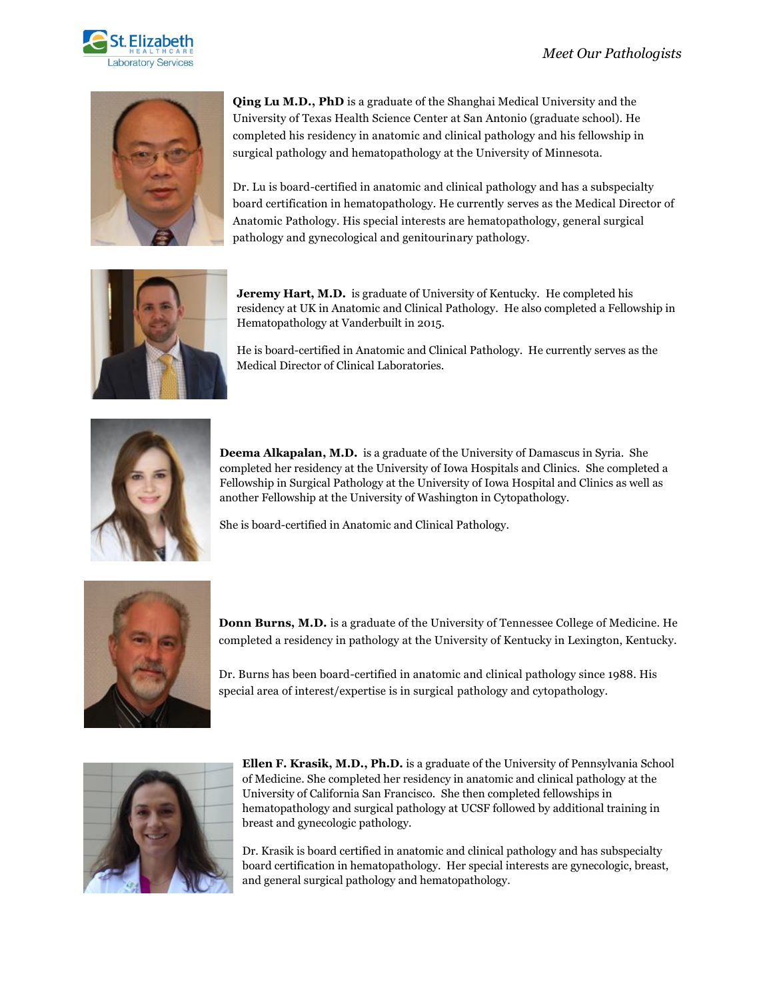



**Qing Lu M.D., PhD** is a graduate of the Shanghai Medical University and the University of Texas Health Science Center at San Antonio (graduate school). He completed his residency in anatomic and clinical pathology and his fellowship in surgical pathology and hematopathology at the University of Minnesota.

Dr. Lu is board-certified in anatomic and clinical pathology and has a subspecialty board certification in hematopathology. He currently serves as the Medical Director of Anatomic Pathology. His special interests are hematopathology, general surgical pathology and gynecological and genitourinary pathology.



**Jeremy Hart, M.D.** is graduate of University of Kentucky. He completed his residency at UK in Anatomic and Clinical Pathology. He also completed a Fellowship in Hematopathology at Vanderbuilt in 2015.

He is board-certified in Anatomic and Clinical Pathology. He currently serves as the Medical Director of Clinical Laboratories.



**Deema Alkapalan, M.D.** is a graduate of the University of Damascus in Syria. She completed her residency at the University of Iowa Hospitals and Clinics. She completed a Fellowship in Surgical Pathology at the University of Iowa Hospital and Clinics as well as another Fellowship at the University of Washington in Cytopathology.

She is board-certified in Anatomic and Clinical Pathology.



**Donn Burns, M.D.** is a graduate of the University of Tennessee College of Medicine. He completed a residency in pathology at the University of Kentucky in Lexington, Kentucky.

Dr. Burns has been board-certified in anatomic and clinical pathology since 1988. His special area of interest/expertise is in surgical pathology and cytopathology.



**Ellen F. Krasik, M.D., Ph.D.** is a graduate of the University of Pennsylvania School of Medicine. She completed her residency in anatomic and clinical pathology at the University of California San Francisco. She then completed fellowships in hematopathology and surgical pathology at UCSF followed by additional training in breast and gynecologic pathology.

Dr. Krasik is board certified in anatomic and clinical pathology and has subspecialty board certification in hematopathology. Her special interests are gynecologic, breast, and general surgical pathology and hematopathology.